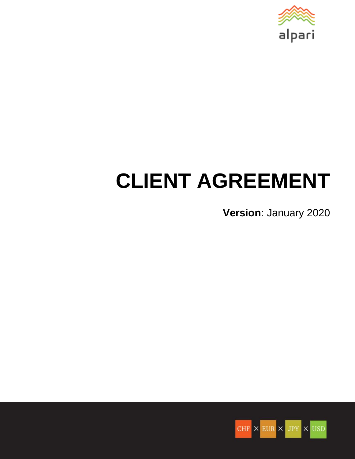

# **CLIENT AGREEMENT**

**Version**: January 2020

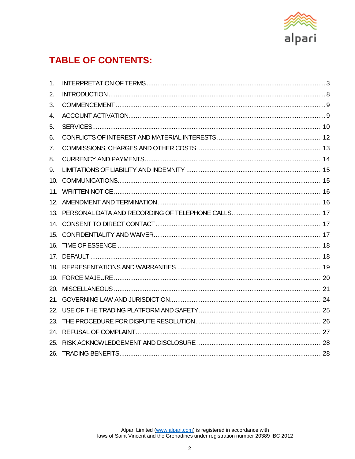

# **TABLE OF CONTENTS:**

<span id="page-1-0"></span>

| 1.  |  |
|-----|--|
| 2.  |  |
| 3.  |  |
| 4.  |  |
| 5.  |  |
| 6.  |  |
| 7.  |  |
| 8.  |  |
| 9.  |  |
|     |  |
|     |  |
|     |  |
|     |  |
|     |  |
|     |  |
|     |  |
|     |  |
|     |  |
|     |  |
| 20. |  |
|     |  |
|     |  |
|     |  |
|     |  |
|     |  |
|     |  |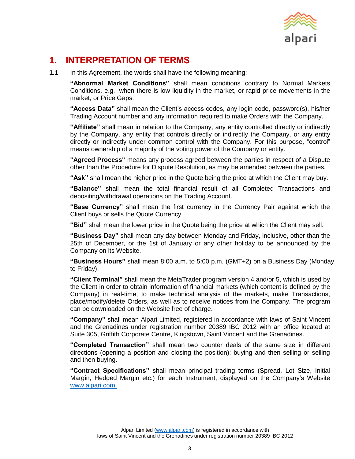

## <span id="page-2-0"></span>**1. INTERPRETATION OF TERMS**

**1.1** In this Agreement, the words shall have the following meaning:

**"Abnormal Market Conditions"** shall mean conditions contrary to Normal Markets Conditions, e.g., when there is low liquidity in the market, or rapid price movements in the market, or Price Gaps.

**"Access Data"** shall mean the Client's access codes, any login code, password(s), his/her Trading Account number and any information required to make Orders with the Company.

**"Affiliate"** shall mean in relation to the Company, any entity controlled directly or indirectly by the Company, any entity that controls directly or indirectly the Company, or any entity directly or indirectly under common control with the Company. For this purpose, "control" means ownership of a majority of the voting power of the Company or entity.

**"Agreed Process"** means any process agreed between the parties in respect of a Dispute other than the Procedure for Dispute Resolution, as may be amended between the parties.

**"Ask"** shall mean the higher price in the Quote being the price at which the Client may buy.

**"Balance"** shall mean the total financial result of all Completed Transactions and depositing/withdrawal operations on the Trading Account.

**"Base Currency"** shall mean the first currency in the Currency Pair against which the Client buys or sells the Quote Currency.

**"Bid"** shall mean the lower price in the Quote being the price at which the Client may sell.

**"Business Day"** shall mean any day between Monday and Friday, inclusive, other than the 25th of December, or the 1st of January or any other holiday to be announced by the Company on its Website.

**"Business Hours"** shall mean 8:00 a.m. to 5:00 p.m. (GMT+2) on a Business Day (Monday to Friday).

**"Client Terminal"** shall mean the MetaTrader program version 4 and/or 5, which is used by the Client in order to obtain information of financial markets (which content is defined by the Company) in real-time, to make technical analysis of the markets, make Transactions, place/modify/delete Orders, as well as to receive notices from the Company. The program can be downloaded on the Website free of charge.

**"Company"** shall mean Alpari Limited, registered in accordance with laws of Saint Vincent and the Grenadines under registration number 20389 IBC 2012 with an office located at Suite 305, Griffith Corporate Centre, Kingstown, Saint Vincent and the Grenadines.

**"Completed Transaction"** shall mean two counter deals of the same size in different directions (opening a position and closing the position): buying and then selling or selling and then buying.

**"Contract Specifications"** shall mean principal trading terms (Spread, Lot Size, Initial Margin, Hedged Margin etc.) for each Instrument, displayed on the Company's Website www.alpari.com.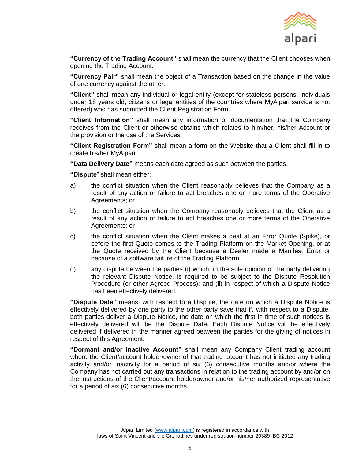

**"Currency of the Trading Account"** shall mean the currency that the Client chooses when opening the Trading Account.

**"Currency Pair"** shall mean the object of a Transaction based on the change in the value of one currency against the other.

**"Client"** shall mean any individual or legal entity (except for stateless persons; individuals under 18 years old; citizens or legal entities of the countries where MyAlpari service is not offered) who has submitted the Client Registration Form.

**"Client Information"** shall mean any information or documentation that the Company receives from the Client or otherwise obtains which relates to him/her, his/her Account or the provision or the use of the Services.

**"Client Registration Form"** shall mean a form on the Website that a Client shall fill in to create his/her MyAlpari.

**"Data Delivery Date"** means each date agreed as such between the parties.

**"Dispute**" shall mean either:

- a) the conflict situation when the Client reasonably believes that the Company as a result of any action or failure to act breaches one or more terms of the Operative Agreements; or
- b) the conflict situation when the Company reasonably believes that the Client as a result of any action or failure to act breaches one or more terms of the Operative Agreements; or
- c) the conflict situation when the Client makes a deal at an Error Quote (Spike), or before the first Quote comes to the Trading Platform on the Market Opening, or at the Quote received by the Client because a Dealer made a Manifest Error or because of a software failure of the Trading Platform.
- d) any dispute between the parties (i) which, in the sole opinion of the party delivering the relevant Dispute Notice, is required to be subject to the Dispute Resolution Procedure (or other Agreed Process); and (ii) in respect of which a Dispute Notice has been effectively delivered.

**"Dispute Date"** means, with respect to a Dispute, the date on which a Dispute Notice is effectively delivered by one party to the other party save that if, with respect to a Dispute, both parties deliver a Dispute Notice, the date on which the first in time of such notices is effectively delivered will be the Dispute Date. Each Dispute Notice will be effectively delivered if delivered in the manner agreed between the parties for the giving of notices in respect of this Agreement.

**"Dormant and/or Inactive Account"** shall mean any Company Client trading account where the Client/account holder/owner of that trading account has not initiated any trading activity and/or inactivity for a period of six (6) consecutive months and/or where the Company has not carried out any transactions in relation to the trading account by and/or on the instructions of the Client/account holder/owner and/or his/her authorized representative for a period of six (6) consecutive months.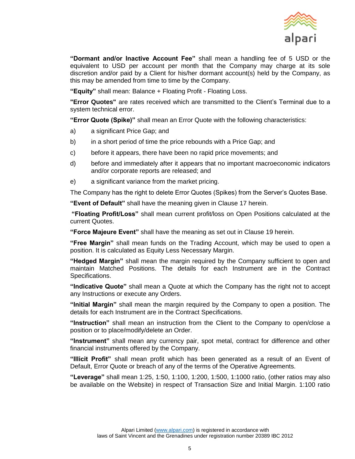

**"Dormant and/or Inactive Account Fee"** shall mean a handling fee of 5 USD or the equivalent to USD per account per month that the Company may charge at its sole discretion and/or paid by a Client for his/her dormant account(s) held by the Company, as this may be amended from time to time by the Company.

**"Equity"** shall mean: Balance + Floating Profit - Floating Loss.

**"Error Quotes"** are rates received which are transmitted to the Client's Terminal due to a system technical error.

**"Error Quote (Spike)"** shall mean an Error Quote with the following characteristics:

- a) a significant Price Gap; and
- b) in a short period of time the price rebounds with a Price Gap; and
- c) before it appears, there have been no rapid price movements; and
- d) before and immediately after it appears that no important macroeconomic indicators and/or corporate reports are released; and
- e) a significant variance from the market pricing.

The Company has the right to delete Error Quotes (Spikes) from the Server's Quotes Base.

**"Event of Default"** shall have the meaning given in Clause [17](#page-17-1) herein.

**"Floating Profit/Loss"** shall mean current profit/loss on Open Positions calculated at the current Quotes.

**"Force Majeure Event"** shall have the meaning as set out in Clause [19](#page-19-0) herein.

**"Free Margin"** shall mean funds on the Trading Account, which may be used to open a position. It is calculated as Equity Less Necessary Margin.

**"Hedged Margin"** shall mean the margin required by the Company sufficient to open and maintain Matched Positions. The details for each Instrument are in the Contract Specifications.

**"Indicative Quote"** shall mean a Quote at which the Company has the right not to accept any Instructions or execute any Orders.

**"Initial Margin"** shall mean the margin required by the Company to open a position. The details for each Instrument are in the Contract Specifications.

**"Instruction"** shall mean an instruction from the Client to the Company to open/close a position or to place/modify/delete an Order.

**"Instrument"** shall mean any currency pair, spot metal, contract for difference and other financial instruments offered by the Company.

**"Illicit Profit"** shall mean profit which has been generated as a result of an Event of Default, Error Quote or breach of any of the terms of the Operative Agreements.

**"Leverage"** shall mean 1:25, 1:50, 1:100, 1:200, 1:500, 1:1000 ratio, (other ratios may also be available on the Website) in respect of Transaction Size and Initial Margin. 1:100 ratio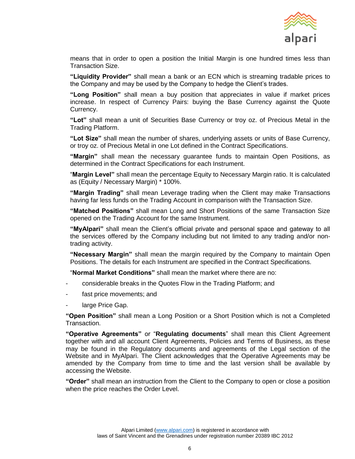

means that in order to open a position the Initial Margin is one hundred times less than Transaction Size.

**"Liquidity Provider"** shall mean a bank or an ECN which is streaming tradable prices to the Company and may be used by the Company to hedge the Client's trades.

**"Long Position"** shall mean a buy position that appreciates in value if market prices increase. In respect of Currency Pairs: buying the Base Currency against the Quote Currency.

**"Lot"** shall mean a unit of Securities Base Currency or troy oz. of Precious Metal in the Trading Platform.

**"Lot Size"** shall mean the number of shares, underlying assets or units of Base Currency, or troy oz. of Precious Metal in one Lot defined in the Contract Specifications.

**"Margin"** shall mean the necessary guarantee funds to maintain Open Positions, as determined in the Contract Specifications for each Instrument.

"**Margin Level"** shall mean the percentage Equity to Necessary Margin ratio. It is calculated as (Equity / Necessary Margin) \* 100%.

**"Margin Trading"** shall mean Leverage trading when the Client may make Transactions having far less funds on the Trading Account in comparison with the Transaction Size.

**"Matched Positions"** shall mean Long and Short Positions of the same Transaction Size opened on the Trading Account for the same Instrument.

**"MyAlpari"** shall mean the Client's official private and personal space and gateway to all the services offered by the Company including but not limited to any trading and/or nontrading activity.

**"Necessary Margin"** shall mean the margin required by the Company to maintain Open Positions. The details for each Instrument are specified in the Contract Specifications.

"**Normal Market Conditions"** shall mean the market where there are no:

- considerable breaks in the Quotes Flow in the Trading Platform; and
- fast price movements; and
- large Price Gap.

**"Open Position"** shall mean a Long Position or a Short Position which is not a Completed Transaction.

**"Operative Agreements"** or "**Regulating documents**" shall mean this Client Agreement together with and all account Client Agreements, Policies and Terms of Business, as these may be found in the Regulatory documents and agreements of the Legal section of the Website and in MyAlpari. The Client acknowledges that the Operative Agreements may be amended by the Company from time to time and the last version shall be available by accessing the Website.

**"Order"** shall mean an instruction from the Client to the Company to open or close a position when the price reaches the Order Level.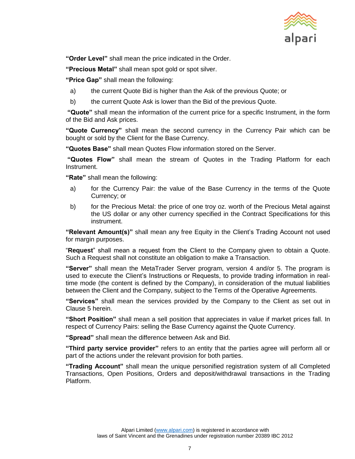

**"Order Level"** shall mean the price indicated in the Order.

**"Precious Metal"** shall mean spot gold or spot silver.

**"Price Gap"** shall mean the following:

- a) the current Quote Bid is higher than the Ask of the previous Quote; or
- b) the current Quote Ask is lower than the Bid of the previous Quote.

**"Quote"** shall mean the information of the current price for a specific Instrument, in the form of the Bid and Ask prices.

**"Quote Currency"** shall mean the second currency in the Currency Pair which can be bought or sold by the Client for the Base Currency.

**"Quotes Base"** shall mean Quotes Flow information stored on the Server.

**"Quotes Flow"** shall mean the stream of Quotes in the Trading Platform for each Instrument.

**"Rate"** shall mean the following:

- a) for the Currency Pair: the value of the Base Currency in the terms of the Quote Currency; or
- b) for the Precious Metal: the price of one troy oz. worth of the Precious Metal against the US dollar or any other currency specified in the Contract Specifications for this instrument.

**"Relevant Amount(s)"** shall mean any free Equity in the Client's Trading Account not used for margin purposes.

"**Request**" shall mean a request from the Client to the Company given to obtain a Quote. Such a Request shall not constitute an obligation to make a Transaction.

**"Server"** shall mean the MetaTrader Server program, version 4 and/or 5. The program is used to execute the Client's Instructions or Requests, to provide trading information in realtime mode (the content is defined by the Company), in consideration of the mutual liabilities between the Client and the Company, subject to the Terms of the Operative Agreements.

**"Services"** shall mean the services provided by the Company to the Client as set out in Clause [5](#page-9-0) herein.

**"Short Position"** shall mean a sell position that appreciates in value if market prices fall. In respect of Currency Pairs: selling the Base Currency against the Quote Currency.

**"Spread"** shall mean the difference between Ask and Bid.

**"Third party service provider"** refers to an entity that the parties agree will perform all or part of the actions under the relevant provision for both parties.

**"Trading Account"** shall mean the unique personified registration system of all Completed Transactions, Open Positions, Orders and deposit/withdrawal transactions in the Trading Platform.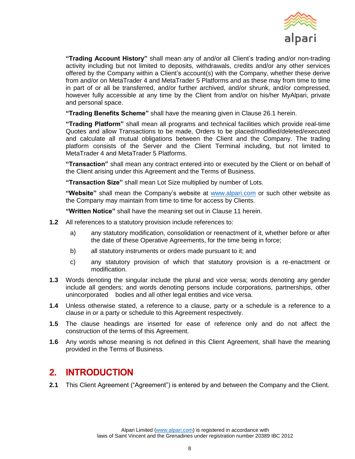

**"Trading Account History"** shall mean any of and/or all Client's trading and/or non-trading activity including but not limited to deposits, withdrawals, credits and/or any other services offered by the Company within a Client's account(s) with the Company, whether these derive from and/or on MetaTrader 4 and MetaTrader 5 Platforms and as these may from time to time in part of or all be transferred, and/or further archived, and/or shrunk, and/or compressed, however fully accessible at any time by the Client from and/or on his/her MyAlpari, private and personal space.

**"Trading Benefits Scheme"** shall have the meaning given in Clause [26.1](#page-27-2) herein.

**"Trading Platform"** shall mean all programs and technical facilities which provide real-time Quotes and allow Transactions to be made, Orders to be placed/modified/deleted/executed and calculate all mutual obligations between the Client and the Company. The trading platform consists of the Server and the Client Terminal including, but not limited to MetaTrader 4 and MetaTrader 5 Platforms.

**"Transaction"** shall mean any contract entered into or executed by the Client or on behalf of the Client arising under this Agreement and the Terms of Business.

**"Transaction Size"** shall mean Lot Size multiplied by number of Lots.

**"Website"** shall mean the Company's website at [www.alpari.com](http://www.alpari.com/) or such other website as the Company may maintain from time to time for access by Clients.

**"Written Notice"** shall have the meaning set out in Clause [11](#page-15-0) herein.

- **1.2** All references to a statutory provision include references to:
	- a) any statutory modification, consolidation or reenactment of it, whether before or after the date of these Operative Agreements, for the time being in force;
	- b) all statutory instruments or orders made pursuant to it; and
	- c) any statutory provision of which that statutory provision is a re‐enactment or modification.
- **1.3** Words denoting the singular include the plural and vice versa; words denoting any gender include all genders; and words denoting persons include corporations, partnerships, other unincorporated bodies and all other legal entities and vice versa.
- **1.4** Unless otherwise stated, a reference to a clause, party or a schedule is a reference to a clause in or a party or schedule to this Agreement respectively.
- **1.5** The clause headings are inserted for ease of reference only and do not affect the construction of the terms of this Agreement.
- **1.6** Any words whose meaning is not defined in this Client Agreement, shall have the meaning provided in the Terms of Business.

## <span id="page-7-0"></span>**2. INTRODUCTION**

**2.1** This Client Agreement ("Agreement") is entered by and between the Company and the Client.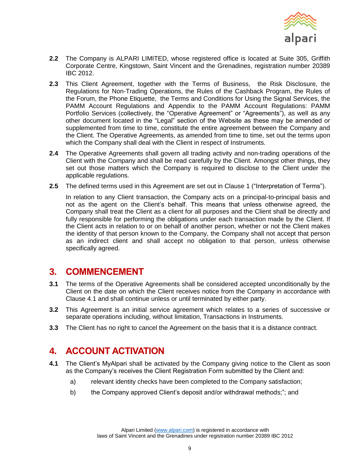

- **2.2** The Company is ALPARI LIMITED, whose registered office is located at Suite 305, Griffith Corporate Centre, Kingstown, Saint Vincent and the Grenadines, registration number 20389 IBC 2012.
- **2.3** This Client Agreement, together with the Terms of Business, the Risk Disclosure, the Regulations for Non-Trading Operations, the Rules of the Cashback Program, the Rules of the Forum, the Phone Etiquette, the Terms and Conditions for Using the Signal Services, the PAMM Account Regulations and Appendix to the PAMM Account Regulations: PAMM Portfolio Services (collectively, the "Operative Agreement" or "Agreements"), as well as any other document located in the "Legal" section of the Website as these may be amended or supplemented from time to time, constitute the entire agreement between the Company and the Client. The Operative Agreements, as amended from time to time, set out the terms upon which the Company shall deal with the Client in respect of Instruments.
- **2.4** The Operative Agreements shall govern all trading activity and non-trading operations of the Client with the Company and shall be read carefully by the Client. Amongst other things, they set out those matters which the Company is required to disclose to the Client under the applicable regulations.
- **2.5** The defined terms used in this Agreement are set out in Clause [1](#page-2-0) ("Interpretation of Terms").

In relation to any Client transaction, the Company acts on a principal-to-principal basis and not as the agent on the Client's behalf. This means that unless otherwise agreed, the Company shall treat the Client as a client for all purposes and the Client shall be directly and fully responsible for performing the obligations under each transaction made by the Client. If the Client acts in relation to or on behalf of another person, whether or not the Client makes the identity of that person known to the Company, the Company shall not accept that person as an indirect client and shall accept no obligation to that person, unless otherwise specifically agreed.

## <span id="page-8-0"></span>**3. COMMENCEMENT**

- **3.1** The terms of the Operative Agreements shall be considered accepted unconditionally by the Client on the date on which the Client receives notice from the Company in accordance with Clause [4.1](#page-8-2) and shall continue unless or until terminated by either party.
- **3.2** This Agreement is an initial service agreement which relates to a series of successive or separate operations including, without limitation, Transactions in Instruments.
- **3.3** The Client has no right to cancel the Agreement on the basis that it is a distance contract.

## <span id="page-8-1"></span>**4. ACCOUNT ACTIVATION**

- <span id="page-8-2"></span>**4.1** The Client's MyAlpari shall be activated by the Company giving notice to the Client as soon as the Company's receives the Client Registration Form submitted by the Client and:
	- a) relevant identity checks have been completed to the Company satisfaction;
	- b) the Company approved Client's deposit and/or withdrawal methods;"; and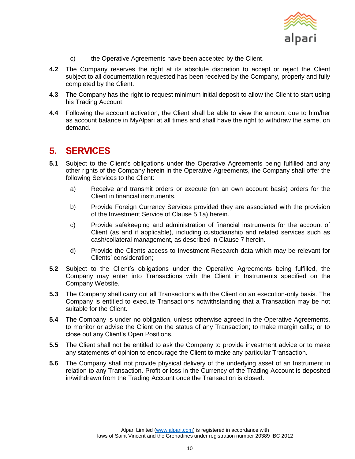

- c) the Operative Agreements have been accepted by the Client.
- **4.2** The Company reserves the right at its absolute discretion to accept or reject the Client subject to all documentation requested has been received by the Company, properly and fully completed by the Client.
- **4.3** The Company has the right to request minimum initial deposit to allow the Client to start using his Trading Account.
- **4.4** Following the account activation, the Client shall be able to view the amount due to him/her as account balance in MyAlpari at all times and shall have the right to withdraw the same, on demand.

## <span id="page-9-0"></span>**5. SERVICES**

- <span id="page-9-1"></span>**5.1** Subject to the Client's obligations under the Operative Agreements being fulfilled and any other rights of the Company herein in the Operative Agreements, the Company shall offer the following Services to the Client:
	- a) Receive and transmit orders or execute (on an own account basis) orders for the Client in financial instruments.
	- b) Provide Foreign Currency Services provided they are associated with the provision of the Investment Service of Clause [5.1a\)](#page-9-1) herein.
	- c) Provide safekeeping and administration of financial instruments for the account of Client (as and if applicable), including custodianship and related services such as cash/collateral management, as described in Clause [7](#page-12-0) herein.
	- d) Provide the Clients access to Investment Research data which may be relevant for Clients' consideration;
- **5.2** Subject to the Client's obligations under the Operative Agreements being fulfilled, the Company may enter into Transactions with the Client in Instruments specified on the Company Website.
- **5.3** The Company shall carry out all Transactions with the Client on an execution-only basis. The Company is entitled to execute Transactions notwithstanding that a Transaction may be not suitable for the Client.
- **5.4** The Company is under no obligation, unless otherwise agreed in the Operative Agreements, to monitor or advise the Client on the status of any Transaction; to make margin calls; or to close out any Client's Open Positions.
- **5.5** The Client shall not be entitled to ask the Company to provide investment advice or to make any statements of opinion to encourage the Client to make any particular Transaction.
- **5.6** The Company shall not provide physical delivery of the underlying asset of an Instrument in relation to any Transaction. Profit or loss in the Currency of the Trading Account is deposited in/withdrawn from the Trading Account once the Transaction is closed.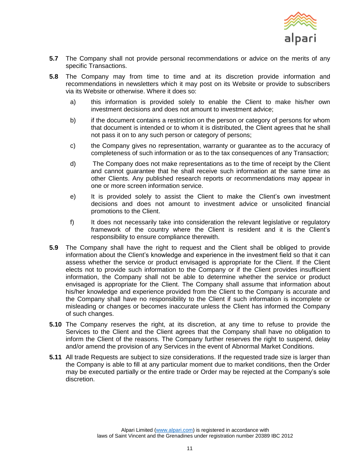

- **5.7** The Company shall not provide personal recommendations or advice on the merits of any specific Transactions.
- **5.8** The Company may from time to time and at its discretion provide information and recommendations in newsletters which it may post on its Website or provide to subscribers via its Website or otherwise. Where it does so:
	- a) this information is provided solely to enable the Client to make his/her own investment decisions and does not amount to investment advice;
	- b) if the document contains a restriction on the person or category of persons for whom that document is intended or to whom it is distributed, the Client agrees that he shall not pass it on to any such person or category of persons;
	- c) the Company gives no representation, warranty or guarantee as to the accuracy of completeness of such information or as to the tax consequences of any Transaction;
	- d) The Company does not make representations as to the time of receipt by the Client and cannot guarantee that he shall receive such information at the same time as other Clients. Any published research reports or recommendations may appear in one or more screen information service.
	- e) It is provided solely to assist the Client to make the Client's own investment decisions and does not amount to investment advice or unsolicited financial promotions to the Client.
	- f) It does not necessarily take into consideration the relevant legislative or regulatory framework of the country where the Client is resident and it is the Client's responsibility to ensure compliance therewith.
- **5.9** The Company shall have the right to request and the Client shall be obliged to provide information about the Client's knowledge and experience in the investment field so that it can assess whether the service or product envisaged is appropriate for the Client. If the Client elects not to provide such information to the Company or if the Client provides insufficient information, the Company shall not be able to determine whether the service or product envisaged is appropriate for the Client. The Company shall assume that information about his/her knowledge and experience provided from the Client to the Company is accurate and the Company shall have no responsibility to the Client if such information is incomplete or misleading or changes or becomes inaccurate unless the Client has informed the Company of such changes.
- **5.10** The Company reserves the right, at its discretion, at any time to refuse to provide the Services to the Client and the Client agrees that the Company shall have no obligation to inform the Client of the reasons. The Company further reserves the right to suspend, delay and/or amend the provision of any Services in the event of Abnormal Market Conditions.
- **5.11** All trade Requests are subject to size considerations. If the requested trade size is larger than the Company is able to fill at any particular moment due to market conditions, then the Order may be executed partially or the entire trade or Order may be rejected at the Company's sole discretion.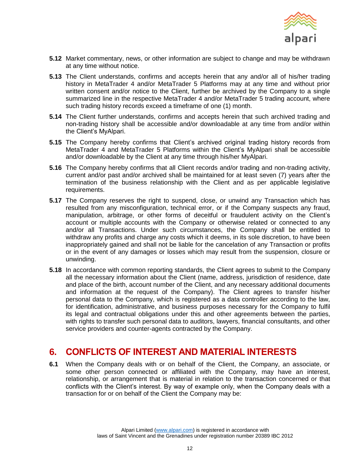

- **5.12** Market commentary, news, or other information are subject to change and may be withdrawn at any time without notice.
- **5.13** The Client understands, confirms and accepts herein that any and/or all of his/her trading history in MetaTrader 4 and/or MetaTrader 5 Platforms may at any time and without prior written consent and/or notice to the Client, further be archived by the Company to a single summarized line in the respective MetaTrader 4 and/or MetaTrader 5 trading account, where such trading history records exceed a timeframe of one (1) month.
- **5.14** The Client further understands, confirms and accepts herein that such archived trading and non-trading history shall be accessible and/or downloadable at any time from and/or within the Client's MyAlpari.
- **5.15** The Company hereby confirms that Client's archived original trading history records from MetaTrader 4 and MetaTrader 5 Platforms within the Client's MyAlpari shall be accessible and/or downloadable by the Client at any time through his/her MyAlpari.
- **5.16** The Company hereby confirms that all Client records and/or trading and non-trading activity, current and/or past and/or archived shall be maintained for at least seven (7) years after the termination of the business relationship with the Client and as per applicable legislative requirements.
- **5.17** The Company reserves the right to suspend, close, or unwind any Transaction which has resulted from any misconfiguration, technical error, or if the Company suspects any fraud, manipulation, arbitrage, or other forms of deceitful or fraudulent activity on the Client's account or multiple accounts with the Company or otherwise related or connected to any and/or all Transactions. Under such circumstances, the Company shall be entitled to withdraw any profits and charge any costs which it deems, in its sole discretion, to have been inappropriately gained and shall not be liable for the cancelation of any Transaction or profits or in the event of any damages or losses which may result from the suspension, closure or unwinding.
- **5.18** In accordance with common reporting standards, the Client agrees to submit to the Company all the necessary information about the Client (name, address, jurisdiction of residence, date and place of the birth, account number of the Client, and any necessary additional documents and information at the request of the Company). The Client agrees to transfer his/her personal data to the Company, which is registered as a data controller according to the law, for identification, administrative, and business purposes necessary for the Company to fulfil its legal and contractual obligations under this and other agreements between the parties, with rights to transfer such personal data to auditors, lawyers, financial consultants, and other service providers and counter-agents contracted by the Company.

## <span id="page-11-0"></span>**6. CONFLICTS OF INTEREST AND MATERIAL INTERESTS**

**6.1** When the Company deals with or on behalf of the Client, the Company, an associate, or some other person connected or affiliated with the Company, may have an interest, relationship, or arrangement that is material in relation to the transaction concerned or that conflicts with the Client's interest. By way of example only, when the Company deals with a transaction for or on behalf of the Client the Company may be: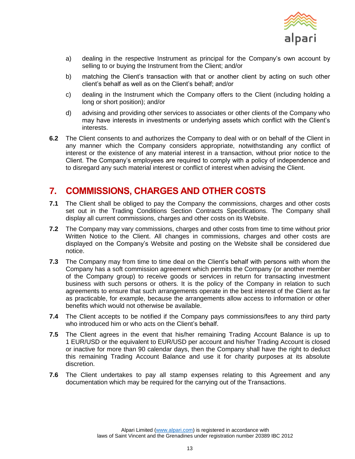

- a) dealing in the respective Instrument as principal for the Company's own account by selling to or buying the Instrument from the Client; and/or
- b) matching the Client's transaction with that or another client by acting on such other client's behalf as well as on the Client's behalf; and/or
- c) dealing in the Instrument which the Company offers to the Client (including holding a long or short position); and/or
- d) advising and providing other services to associates or other clients of the Company who may have interests in investments or underlying assets which conflict with the Client's interests.
- **6.2** The Client consents to and authorizes the Company to deal with or on behalf of the Client in any manner which the Company considers appropriate, notwithstanding any conflict of interest or the existence of any material interest in a transaction, without prior notice to the Client. The Company's employees are required to comply with a policy of independence and to disregard any such material interest or conflict of interest when advising the Client.

## <span id="page-12-0"></span>**7. COMMISSIONS, CHARGES AND OTHER COSTS**

- **7.1** The Client shall be obliged to pay the Company the commissions, charges and other costs set out in the Trading Conditions Section Contracts Specifications. The Company shall display all current commissions, charges and other costs on its Website.
- **7.2** The Company may vary commissions, charges and other costs from time to time without prior Written Notice to the Client. All changes in commissions, charges and other costs are displayed on the Company's Website and posting on the Website shall be considered due notice.
- **7.3** The Company may from time to time deal on the Client's behalf with persons with whom the Company has a soft commission agreement which permits the Company (or another member of the Company group) to receive goods or services in return for transacting investment business with such persons or others. It is the policy of the Company in relation to such agreements to ensure that such arrangements operate in the best interest of the Client as far as practicable, for example, because the arrangements allow access to information or other benefits which would not otherwise be available.
- **7.4** The Client accepts to be notified if the Company pays commissions/fees to any third party who introduced him or who acts on the Client's behalf.
- **7.5** The Client agrees in the event that his/her remaining Trading Account Balance is up to 1 EUR/USD or the equivalent to EUR/USD per account and his/her Trading Account is closed or inactive for more than 90 calendar days, then the Company shall have the right to deduct this remaining Trading Account Balance and use it for charity purposes at its absolute discretion.
- **7.6** The Client undertakes to pay all stamp expenses relating to this Agreement and any documentation which may be required for the carrying out of the Transactions.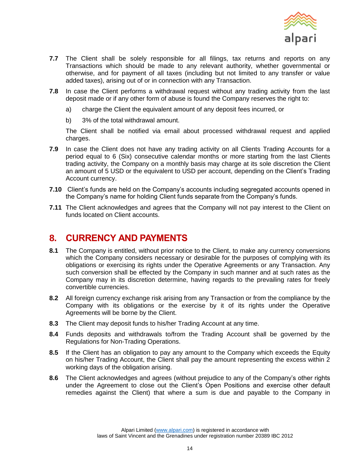

- **7.7** The Client shall be solely responsible for all filings, tax returns and reports on any Transactions which should be made to any relevant authority, whether governmental or otherwise, and for payment of all taxes (including but not limited to any transfer or value added taxes), arising out of or in connection with any Transaction.
- **7.8** In case the Client performs a withdrawal request without any trading activity from the last deposit made or if any other form of abuse is found the Company reserves the right to:
	- a) charge the Client the equivalent amount of any deposit fees incurred, or
	- b) 3% of the total withdrawal amount.

The Client shall be notified via email about processed withdrawal request and applied charges.

- **7.9** In case the Client does not have any trading activity on all Clients Trading Accounts for a period equal to 6 (Six) consecutive calendar months or more starting from the last Clients trading activity, the Company on a monthly basis may charge at its sole discretion the Client an amount of 5 USD or the equivalent to USD per account, depending on the Client's Trading Account currency.
- **7.10** Client's funds are held on the Company's accounts including segregated accounts opened in the Company's name for holding Client funds separate from the Company's funds.
- **7.11** The Client acknowledges and agrees that the Company will not pay interest to the Client on funds located on Client accounts.

## <span id="page-13-0"></span>**8. CURRENCY AND PAYMENTS**

- **8.1** The Company is entitled, without prior notice to the Client, to make any currency conversions which the Company considers necessary or desirable for the purposes of complying with its obligations or exercising its rights under the Operative Agreements or any Transaction. Any such conversion shall be effected by the Company in such manner and at such rates as the Company may in its discretion determine, having regards to the prevailing rates for freely convertible currencies.
- **8.2** All foreign currency exchange risk arising from any Transaction or from the compliance by the Company with its obligations or the exercise by it of its rights under the Operative Agreements will be borne by the Client.
- **8.3** The Client may deposit funds to his/her Trading Account at any time.
- **8.4** Funds deposits and withdrawals to/from the Trading Account shall be governed by the Regulations for Non-Trading Operations.
- **8.5** If the Client has an obligation to pay any amount to the Company which exceeds the Equity on his/her Trading Account, the Client shall pay the amount representing the excess within 2 working days of the obligation arising.
- **8.6** The Client acknowledges and agrees (without prejudice to any of the Company's other rights under the Agreement to close out the Client's Open Positions and exercise other default remedies against the Client) that where a sum is due and payable to the Company in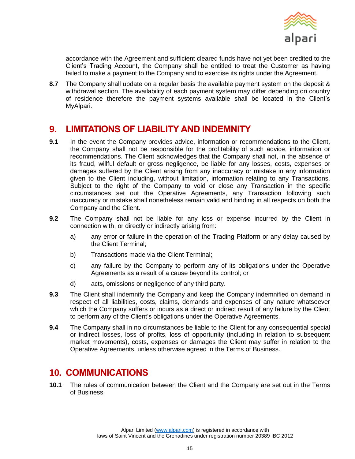

accordance with the Agreement and sufficient cleared funds have not yet been credited to the Client's Trading Account, the Company shall be entitled to treat the Customer as having failed to make a payment to the Company and to exercise its rights under the Agreement.

**8.7** The Company shall update on a regular basis the available payment system on the deposit & withdrawal section. The availability of each payment system may differ depending on country of residence therefore the payment systems available shall be located in the Client's MyAlpari.

## <span id="page-14-0"></span>**9. LIMITATIONS OF LIABILITY AND INDEMNITY**

- **9.1** In the event the Company provides advice, information or recommendations to the Client, the Company shall not be responsible for the profitability of such advice, information or recommendations. The Client acknowledges that the Company shall not, in the absence of its fraud, willful default or gross negligence, be liable for any losses, costs, expenses or damages suffered by the Client arising from any inaccuracy or mistake in any information given to the Client including, without limitation, information relating to any Transactions. Subject to the right of the Company to void or close any Transaction in the specific circumstances set out the Operative Agreements, any Transaction following such inaccuracy or mistake shall nonetheless remain valid and binding in all respects on both the Company and the Client.
- **9.2** The Company shall not be liable for any loss or expense incurred by the Client in connection with, or directly or indirectly arising from:
	- a) any error or failure in the operation of the Trading Platform or any delay caused by the Client Terminal;
	- b) Transactions made via the Client Terminal;
	- c) any failure by the Company to perform any of its obligations under the Operative Agreements as a result of a cause beyond its control; or
	- d) acts, omissions or negligence of any third party.
- **9.3** The Client shall indemnify the Company and keep the Company indemnified on demand in respect of all liabilities, costs, claims, demands and expenses of any nature whatsoever which the Company suffers or incurs as a direct or indirect result of any failure by the Client to perform any of the Client's obligations under the Operative Agreements.
- **9.4** The Company shall in no circumstances be liable to the Client for any consequential special or indirect losses, loss of profits, loss of opportunity (including in relation to subsequent market movements), costs, expenses or damages the Client may suffer in relation to the Operative Agreements, unless otherwise agreed in the Terms of Business.

## <span id="page-14-1"></span>**10. COMMUNICATIONS**

**10.1** The rules of communication between the Client and the Company are set out in the Terms of Business.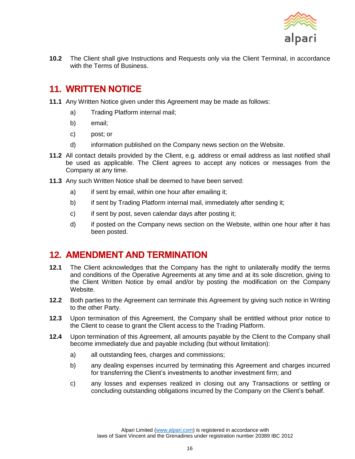

**10.2** The Client shall give Instructions and Requests only via the Client Terminal, in accordance with the Terms of Business.

## <span id="page-15-0"></span>**11. WRITTEN NOTICE**

- **11.1** Any Written Notice given under this Agreement may be made as follows:
	- a) Trading Platform internal mail;
	- b) email;
	- c) post; or
	- d) information published on the Company news section on the Website.
- **11.2** All contact details provided by the Client, e.g. address or email address as last notified shall be used as applicable. The Client agrees to accept any notices or messages from the Company at any time.
- **11.3** Any such Written Notice shall be deemed to have been served:
	- a) if sent by email, within one hour after emailing it;
	- b) if sent by Trading Platform internal mail, immediately after sending it;
	- c) if sent by post, seven calendar days after posting it;
	- d) if posted on the Company news section on the Website, within one hour after it has been posted.

## <span id="page-15-1"></span>**12. AMENDMENT AND TERMINATION**

- **12.1** The Client acknowledges that the Company has the right to unilaterally modify the terms and conditions of the Operative Agreements at any time and at its sole discretion, giving to the Client Written Notice by email and/or by posting the modification on the Company Website.
- **12.2** Both parties to the Agreement can terminate this Agreement by giving such notice in Writing to the other Party.
- **12.3** Upon termination of this Agreement, the Company shall be entitled without prior notice to the Client to cease to grant the Client access to the Trading Platform.
- **12.4** Upon termination of this Agreement, all amounts payable by the Client to the Company shall become immediately due and payable including (but without limitation):
	- a) all outstanding fees, charges and commissions;
	- b) any dealing expenses incurred by terminating this Agreement and charges incurred for transferring the Client's investments to another investment firm; and
	- c) any losses and expenses realized in closing out any Transactions or settling or concluding outstanding obligations incurred by the Company on the Client's behalf.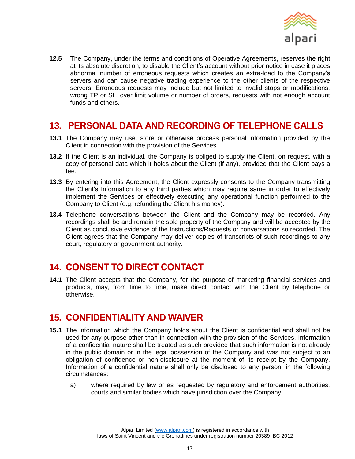

**12.5** The Company, under the terms and conditions of Operative Agreements, reserves the right at its absolute discretion, to disable the Client's account without prior notice in case it places abnormal number of erroneous requests which creates an extra-load to the Company's servers and can cause negative trading experience to the other clients of the respective servers. Erroneous requests may include but not limited to invalid stops or modifications, wrong TP or SL, over limit volume or number of orders, requests with not enough account funds and others.

## <span id="page-16-0"></span>**13. PERSONAL DATA AND RECORDING OF TELEPHONE CALLS**

- **13.1** The Company may use, store or otherwise process personal information provided by the Client in connection with the provision of the Services.
- **13.2** If the Client is an individual, the Company is obliged to supply the Client, on request, with a copy of personal data which it holds about the Client (if any), provided that the Client pays a fee.
- **13.3** By entering into this Agreement, the Client expressly consents to the Company transmitting the Client's Information to any third parties which may require same in order to effectively implement the Services or effectively executing any operational function performed to the Company to Client (e.g. refunding the Client his money).
- **13.4** Telephone conversations between the Client and the Company may be recorded. Any recordings shall be and remain the sole property of the Company and will be accepted by the Client as conclusive evidence of the Instructions/Requests or conversations so recorded. The Client agrees that the Company may deliver copies of transcripts of such recordings to any court, regulatory or government authority.

## <span id="page-16-1"></span>**14. CONSENT TO DIRECT CONTACT**

**14.1** The Client accepts that the Company, for the purpose of marketing financial services and products, may, from time to time, make direct contact with the Client by telephone or otherwise.

## <span id="page-16-2"></span>**15. CONFIDENTIALITY AND WAIVER**

- **15.1** The information which the Company holds about the Client is confidential and shall not be used for any purpose other than in connection with the provision of the Services. Information of a confidential nature shall be treated as such provided that such information is not already in the public domain or in the legal possession of the Company and was not subject to an obligation of confidence or non-disclosure at the moment of its receipt by the Company. Information of a confidential nature shall only be disclosed to any person, in the following circumstances:
	- a) where required by law or as requested by regulatory and enforcement authorities, courts and similar bodies which have jurisdiction over the Company;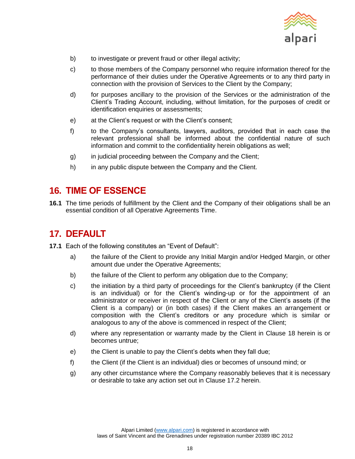

- b) to investigate or prevent fraud or other illegal activity;
- c) to those members of the Company personnel who require information thereof for the performance of their duties under the Operative Agreements or to any third party in connection with the provision of Services to the Client by the Company;
- d) for purposes ancillary to the provision of the Services or the administration of the Client's Trading Account, including, without limitation, for the purposes of credit or identification enquiries or assessments;
- e) at the Client's request or with the Client's consent;
- f) to the Company's consultants, lawyers, auditors, provided that in each case the relevant professional shall be informed about the confidential nature of such information and commit to the confidentiality herein obligations as well;
- g) in judicial proceeding between the Company and the Client;
- h) in any public dispute between the Company and the Client.

## <span id="page-17-0"></span>**16. TIME OF ESSENCE**

**16.1** The time periods of fulfillment by the Client and the Company of their obligations shall be an essential condition of all Operative Agreements Time.

## <span id="page-17-1"></span>**17. DEFAULT**

- **17.1** Each of the following constitutes an "Event of Default":
	- a) the failure of the Client to provide any Initial Margin and/or Hedged Margin, or other amount due under the Operative Agreements;
	- b) the failure of the Client to perform any obligation due to the Company;
	- c) the initiation by a third party of proceedings for the Client's bankruptcy (if the Client is an individual) or for the Client's winding-up or for the appointment of an administrator or receiver in respect of the Client or any of the Client's assets (if the Client is a company) or (in both cases) if the Client makes an arrangement or composition with the Client's creditors or any procedure which is similar or analogous to any of the above is commenced in respect of the Client;
	- d) where any representation or warranty made by the Client in Clause [18](#page-18-0) herein is or becomes untrue;
	- e) the Client is unable to pay the Client's debts when they fall due;
	- f) the Client (if the Client is an individual) dies or becomes of unsound mind; or
	- g) any other circumstance where the Company reasonably believes that it is necessary or desirable to take any action set out in Clause [17.2](#page-18-1) herein.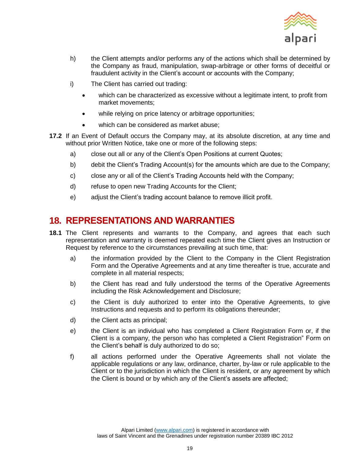

- h) the Client attempts and/or performs any of the actions which shall be determined by the Company as fraud, manipulation, swap-arbitrage or other forms of deceitful or fraudulent activity in the Client's account or accounts with the Company;
- i) The Client has carried out trading:
	- which can be characterized as excessive without a legitimate intent, to profit from market movements;
	- while relying on price latency or arbitrage opportunities;
	- which can be considered as market abuse;
- <span id="page-18-1"></span>**17.2** If an Event of Default occurs the Company may, at its absolute discretion, at any time and without prior Written Notice, take one or more of the following steps:
	- a) close out all or any of the Client's Open Positions at current Quotes;
	- b) debit the Client's Trading Account(s) for the amounts which are due to the Company;
	- c) close any or all of the Client's Trading Accounts held with the Company;
	- d) refuse to open new Trading Accounts for the Client;
	- e) adjust the Client's trading account balance to remove illicit profit.

## <span id="page-18-0"></span>**18. REPRESENTATIONS AND WARRANTIES**

- <span id="page-18-2"></span>**18.1** The Client represents and warrants to the Company, and agrees that each such representation and warranty is deemed repeated each time the Client gives an Instruction or Request by reference to the circumstances prevailing at such time, that:
	- a) the information provided by the Client to the Company in the Client Registration Form and the Operative Agreements and at any time thereafter is true, accurate and complete in all material respects;
	- b) the Client has read and fully understood the terms of the Operative Agreements including the Risk Acknowledgement and Disclosure;
	- c) the Client is duly authorized to enter into the Operative Agreements, to give Instructions and requests and to perform its obligations thereunder;
	- d) the Client acts as principal;
	- e) the Client is an individual who has completed a Client Registration Form or, if the Client is a company, the person who has completed a Client Registration" Form on the Client's behalf is duly authorized to do so;
	- f) all actions performed under the Operative Agreements shall not violate the applicable regulations or any law, ordinance, charter, by-law or rule applicable to the Client or to the jurisdiction in which the Client is resident, or any agreement by which the Client is bound or by which any of the Client's assets are affected;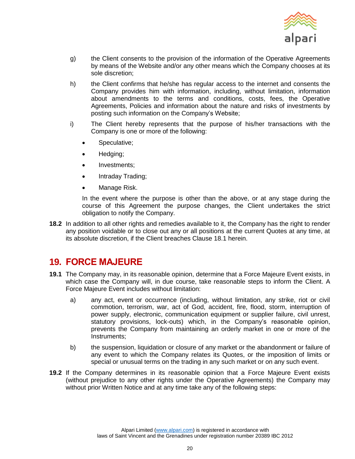

- g) the Client consents to the provision of the information of the Operative Agreements by means of the Website and/or any other means which the Company chooses at its sole discretion;
- h) the Client confirms that he/she has regular access to the internet and consents the Company provides him with information, including, without limitation, information about amendments to the terms and conditions, costs, fees, the Operative Agreements, Policies and information about the nature and risks of investments by posting such information on the Company's Website;
- i) The Client hereby represents that the purpose of his/her transactions with the Company is one or more of the following:
	- Speculative;
	- Hedging;
	- Investments;
	- Intraday Trading;
	- Manage Risk.

In the event where the purpose is other than the above, or at any stage during the course of this Agreement the purpose changes, the Client undertakes the strict obligation to notify the Company.

**18.2** In addition to all other rights and remedies available to it, the Company has the right to render any position voidable or to close out any or all positions at the current Quotes at any time, at its absolute discretion, if the Client breaches Clause [18.1](#page-18-2) herein.

## <span id="page-19-0"></span>**19. FORCE MAJEURE**

- **19.1** The Company may, in its reasonable opinion, determine that a Force Majeure Event exists, in which case the Company will, in due course, take reasonable steps to inform the Client. A Force Majeure Event includes without limitation:
	- a) any act, event or occurrence (including, without limitation, any strike, riot or civil commotion, terrorism, war, act of God, accident, fire, flood, storm, interruption of power supply, electronic, communication equipment or supplier failure, civil unrest, statutory provisions, lock-outs) which, in the Company's reasonable opinion, prevents the Company from maintaining an orderly market in one or more of the Instruments;
	- b) the suspension, liquidation or closure of any market or the abandonment or failure of any event to which the Company relates its Quotes, or the imposition of limits or special or unusual terms on the trading in any such market or on any such event.
- **19.2** If the Company determines in its reasonable opinion that a Force Majeure Event exists (without prejudice to any other rights under the Operative Agreements) the Company may without prior Written Notice and at any time take any of the following steps: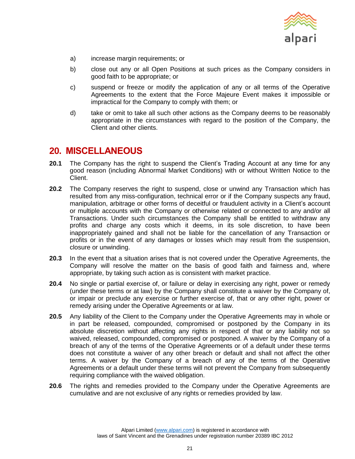

- a) increase margin requirements; or
- b) close out any or all Open Positions at such prices as the Company considers in good faith to be appropriate; or
- c) suspend or freeze or modify the application of any or all terms of the Operative Agreements to the extent that the Force Majeure Event makes it impossible or impractical for the Company to comply with them; or
- d) take or omit to take all such other actions as the Company deems to be reasonably appropriate in the circumstances with regard to the position of the Company, the Client and other clients.

#### <span id="page-20-0"></span>**20. MISCELLANEOUS**

- **20.1** The Company has the right to suspend the Client's Trading Account at any time for any good reason (including Abnormal Market Conditions) with or without Written Notice to the Client.
- **20.2** The Company reserves the right to suspend, close or unwind any Transaction which has resulted from any miss-configuration, technical error or if the Company suspects any fraud, manipulation, arbitrage or other forms of deceitful or fraudulent activity in a Client's account or multiple accounts with the Company or otherwise related or connected to any and/or all Transactions. Under such circumstances the Company shall be entitled to withdraw any profits and charge any costs which it deems, in its sole discretion, to have been inappropriately gained and shall not be liable for the cancellation of any Transaction or profits or in the event of any damages or losses which may result from the suspension, closure or unwinding.
- **20.3** In the event that a situation arises that is not covered under the Operative Agreements, the Company will resolve the matter on the basis of good faith and fairness and, where appropriate, by taking such action as is consistent with market practice.
- **20.4** No single or partial exercise of, or failure or delay in exercising any right, power or remedy (under these terms or at law) by the Company shall constitute a waiver by the Company of, or impair or preclude any exercise or further exercise of, that or any other right, power or remedy arising under the Operative Agreements or at law.
- **20.5** Any liability of the Client to the Company under the Operative Agreements may in whole or in part be released, compounded, compromised or postponed by the Company in its absolute discretion without affecting any rights in respect of that or any liability not so waived, released, compounded, compromised or postponed. A waiver by the Company of a breach of any of the terms of the Operative Agreements or of a default under these terms does not constitute a waiver of any other breach or default and shall not affect the other terms. A waiver by the Company of a breach of any of the terms of the Operative Agreements or a default under these terms will not prevent the Company from subsequently requiring compliance with the waived obligation.
- **20.6** The rights and remedies provided to the Company under the Operative Agreements are cumulative and are not exclusive of any rights or remedies provided by law.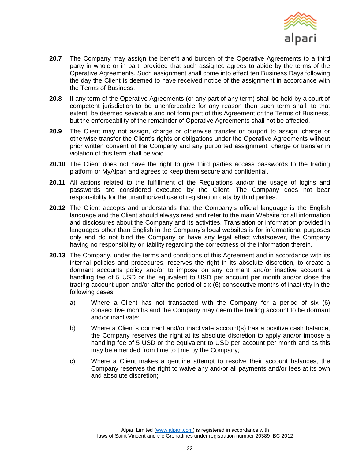

- **20.7** The Company may assign the benefit and burden of the Operative Agreements to a third party in whole or in part, provided that such assignee agrees to abide by the terms of the Operative Agreements. Such assignment shall come into effect ten Business Days following the day the Client is deemed to have received notice of the assignment in accordance with the Terms of Business.
- **20.8** If any term of the Operative Agreements (or any part of any term) shall be held by a court of competent jurisdiction to be unenforceable for any reason then such term shall, to that extent, be deemed severable and not form part of this Agreement or the Terms of Business, but the enforceability of the remainder of Operative Agreements shall not be affected.
- **20.9** The Client may not assign, charge or otherwise transfer or purport to assign, charge or otherwise transfer the Client's rights or obligations under the Operative Agreements without prior written consent of the Company and any purported assignment, charge or transfer in violation of this term shall be void.
- **20.10** The Client does not have the right to give third parties access passwords to the trading platform or MyAlpari and agrees to keep them secure and confidential.
- **20.11** All actions related to the fulfillment of the Regulations and/or the usage of logins and passwords are considered executed by the Client. The Company does not bear responsibility for the unauthorized use of registration data by third parties.
- **20.12** The Client accepts and understands that the Company's official language is the English language and the Client should always read and refer to the main Website for all information and disclosures about the Company and its activities. Translation or information provided in languages other than English in the Company's local websites is for informational purposes only and do not bind the Company or have any legal effect whatsoever, the Company having no responsibility or liability regarding the correctness of the information therein.
- **20.13** The Company, under the terms and conditions of this Agreement and in accordance with its internal policies and procedures, reserves the right in its absolute discretion, to create a dormant accounts policy and/or to impose on any dormant and/or inactive account a handling fee of 5 USD or the equivalent to USD per account per month and/or close the trading account upon and/or after the period of six (6) consecutive months of inactivity in the following cases:
	- a) Where a Client has not transacted with the Company for a period of six (6) consecutive months and the Company may deem the trading account to be dormant and/or inactivate;
	- b) Where a Client's dormant and/or inactivate account(s) has a positive cash balance, the Company reserves the right at its absolute discretion to apply and/or impose a handling fee of 5 USD or the equivalent to USD per account per month and as this may be amended from time to time by the Company;
	- c) Where a Client makes a genuine attempt to resolve their account balances, the Company reserves the right to waive any and/or all payments and/or fees at its own and absolute discretion;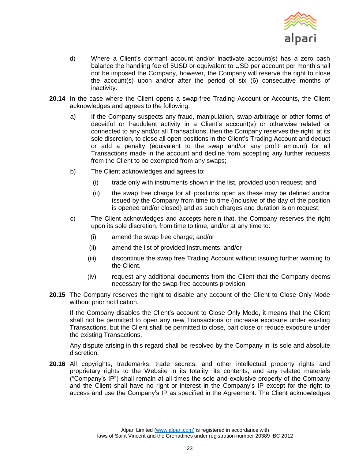

- d) Where a Client's dormant account and/or inactivate account(s) has a zero cash balance the handling fee of 5USD or equivalent to USD per account per month shall not be imposed the Company, however, the Company will reserve the right to close the account(s) upon and/or after the period of six (6) consecutive months of inactivity.
- 20.14 In the case where the Client opens a swap-free Trading Account or Accounts, the Client acknowledges and agrees to the following:
	- a) If the Company suspects any fraud, manipulation, swap-arbitrage or other forms of deceitful or fraudulent activity in a Client's account(s) or otherwise related or connected to any and/or all Transactions, then the Company reserves the right, at its sole discretion, to close all open positions in the Client's Trading Account and deduct or add a penalty (equivalent to the swap and/or any profit amount) for all Transactions made in the account and decline from accepting any further requests from the Client to be exempted from any swaps;
	- b) The Client acknowledges and agrees to:
		- (i) trade only with instruments shown in the list, provided upon request; and
		- (ii) the swap free charge for all positions open as these may be defined and/or issued by the Company from time to time (inclusive of the day of the position is opened and/or closed) and as such charges and duration is on request;
	- c) The Client acknowledges and accepts herein that, the Company reserves the right upon its sole discretion, from time to time, and/or at any time to:
		- (i) amend the swap free charge; and/or
		- (ii) amend the list of provided Instruments; and/or
		- (iii) discontinue the swap free Trading Account without issuing further warning to the Client.
		- (iv) request any additional documents from the Client that the Company deems necessary for the swap-free accounts provision.
- **20.15** The Company reserves the right to disable any account of the Client to Close Only Mode without prior notification.

If the Company disables the Client's account to Close Only Mode, it means that the Client shall not be permitted to open any new Transactions or increase exposure under existing Transactions, but the Client shall be permitted to close, part close or reduce exposure under the existing Transactions.

Any dispute arising in this regard shall be resolved by the Company in its sole and absolute discretion.

**20.16** All copyrights, trademarks, trade secrets, and other intellectual property rights and proprietary rights to the Website in its totality, its contents, and any related materials ("Company's IP") shall remain at all times the sole and exclusive property of the Company and the Client shall have no right or interest in the Company's IP except for the right to access and use the Company's IP as specified in the Agreement. The Client acknowledges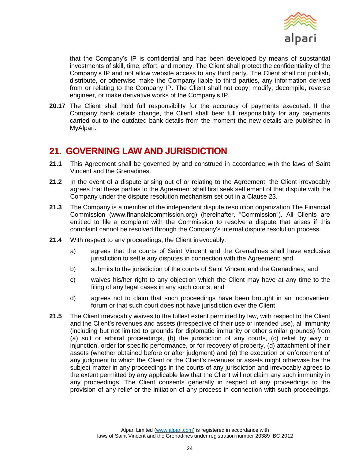

that the Company's IP is confidential and has been developed by means of substantial investments of skill, time, effort, and money. The Client shall protect the confidentiality of the Company's IP and not allow website access to any third party. The Client shall not publish, distribute, or otherwise make the Company liable to third parties, any information derived from or relating to the Company IP. The Client shall not copy, modify, decompile, reverse engineer, or make derivative works of the Company's IP.

**20.17** The Client shall hold full responsibility for the accuracy of payments executed. If the Company bank details change, the Client shall bear full responsibility for any payments carried out to the outdated bank details from the moment the new details are published in MyAlpari.

## <span id="page-23-0"></span>**21. GOVERNING LAW AND JURISDICTION**

- **21.1** This Agreement shall be governed by and construed in accordance with the laws of Saint Vincent and the Grenadines.
- 21.2 In the event of a dispute arising out of or relating to the Agreement, the Client irrevocably agrees that these parties to the Agreement shall first seek settlement of that dispute with the Company under the dispute resolution mechanism set out in a Clause [23.](#page-25-0)
- **21.3** The Company is a member of the independent dispute resolution organization The Financial Commission (www.financialcommission.org) (hereinafter, "Commission"). All Clients are entitled to file a complaint with the Commission to resolve a dispute that arises if this complaint cannot be resolved through the Company's internal dispute resolution process.
- **21.4** With respect to any proceedings, the Client irrevocably:
	- a) agrees that the courts of Saint Vincent and the Grenadines shall have exclusive jurisdiction to settle any disputes in connection with the Agreement; and
	- b) submits to the jurisdiction of the courts of Saint Vincent and the Grenadines; and
	- c) waives his/her right to any objection which the Client may have at any time to the filing of any legal cases in any such courts; and
	- d) agrees not to claim that such proceedings have been brought in an inconvenient forum or that such court does not have jurisdiction over the Client.
- **21.5** The Client irrevocably waives to the fullest extent permitted by law, with respect to the Client and the Client's revenues and assets (irrespective of their use or intended use), all immunity (including but not limited to grounds for diplomatic immunity or other similar grounds) from (a) suit or arbitral proceedings, (b) the jurisdiction of any courts, (c) relief by way of injunction, order for specific performance, or for recovery of property, (d) attachment of their assets (whether obtained before or after judgment) and (e) the execution or enforcement of any judgment to which the Client or the Client's revenues or assets might otherwise be the subject matter in any proceedings in the courts of any jurisdiction and irrevocably agrees to the extent permitted by any applicable law that the Client will not claim any such immunity in any proceedings. The Client consents generally in respect of any proceedings to the provision of any relief or the initiation of any process in connection with such proceedings,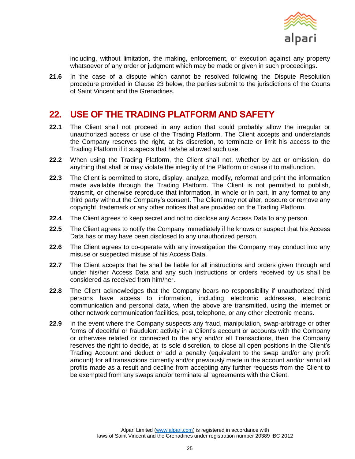

including, without limitation, the making, enforcement, or execution against any property whatsoever of any order or judgment which may be made or given in such proceedings.

**21.6** In the case of a dispute which cannot be resolved following the Dispute Resolution procedure provided in Clause [23](#page-25-0) below, the parties submit to the jurisdictions of the Courts of Saint Vincent and the Grenadines.

#### <span id="page-24-0"></span>**22. USE OF THE TRADING PLATFORM AND SAFETY**

- **22.1** The Client shall not proceed in any action that could probably allow the irregular or unauthorized access or use of the Trading Platform. The Client accepts and understands the Company reserves the right, at its discretion, to terminate or limit his access to the Trading Platform if it suspects that he/she allowed such use.
- **22.2** When using the Trading Platform, the Client shall not, whether by act or omission, do anything that shall or may violate the integrity of the Platform or cause it to malfunction.
- **22.3** The Client is permitted to store, display, analyze, modify, reformat and print the information made available through the Trading Platform. The Client is not permitted to publish, transmit, or otherwise reproduce that information, in whole or in part, in any format to any third party without the Company's consent. The Client may not alter, obscure or remove any copyright, trademark or any other notices that are provided on the Trading Platform.
- **22.4** The Client agrees to keep secret and not to disclose any Access Data to any person.
- **22.5** The Client agrees to notify the Company immediately if he knows or suspect that his Access Data has or may have been disclosed to any unauthorized person.
- **22.6** The Client agrees to co-operate with any investigation the Company may conduct into any misuse or suspected misuse of his Access Data.
- **22.7** The Client accepts that he shall be liable for all instructions and orders given through and under his/her Access Data and any such instructions or orders received by us shall be considered as received from him/her.
- **22.8** The Client acknowledges that the Company bears no responsibility if unauthorized third persons have access to information, including electronic addresses, electronic communication and personal data, when the above are transmitted, using the internet or other network communication facilities, post, telephone, or any other electronic means.
- **22.9** In the event where the Company suspects any fraud, manipulation, swap-arbitrage or other forms of deceitful or fraudulent activity in a Client's account or accounts with the Company or otherwise related or connected to the any and/or all Transactions, then the Company reserves the right to decide, at its sole discretion, to close all open positions in the Client's Trading Account and deduct or add a penalty (equivalent to the swap and/or any profit amount) for all transactions currently and/or previously made in the account and/or annul all profits made as a result and decline from accepting any further requests from the Client to be exempted from any swaps and/or terminate all agreements with the Client.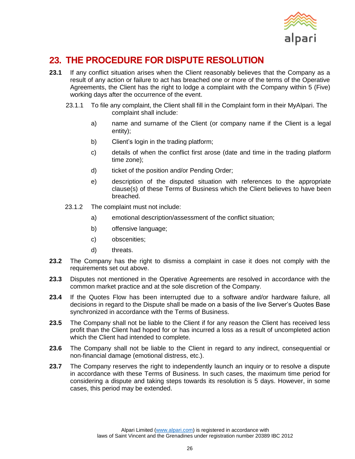

# <span id="page-25-0"></span>**23. THE PROCEDURE FOR DISPUTE RESOLUTION**

- **23.1** If any conflict situation arises when the Client reasonably believes that the Company as a result of any action or failure to act has breached one or more of the terms of the Operative Agreements, the Client has the right to lodge a complaint with the Company within 5 (Five) working days after the occurrence of the event.
	- 23.1.1 To file any complaint, the Client shall fill in the Complaint form in their MyAlpari. The complaint shall include:
		- a) name and surname of the Client (or company name if the Client is a legal entity);
		- b) Client's login in the trading platform;
		- c) details of when the conflict first arose (date and time in the trading platform time zone);
		- d) ticket of the position and/or Pending Order;
		- e) description of the disputed situation with references to the appropriate clause(s) of these Terms of Business which the Client believes to have been breached.
	- 23.1.2 The complaint must not include:
		- a) emotional description/assessment of the conflict situation;
		- b) offensive language;
		- c) obscenities;
		- d) threats.
- **23.2** The Company has the right to dismiss a complaint in case it does not comply with the requirements set out above.
- **23.3** Disputes not mentioned in the Operative Agreements are resolved in accordance with the common market practice and at the sole discretion of the Company.
- **23.4** If the Quotes Flow has been interrupted due to a software and/or hardware failure, all decisions in regard to the Dispute shall be made on a basis of the live Server's Quotes Base synchronized in accordance with the Terms of Business.
- **23.5** The Company shall not be liable to the Client if for any reason the Client has received less profit than the Client had hoped for or has incurred a loss as a result of uncompleted action which the Client had intended to complete.
- **23.6** The Company shall not be liable to the Client in regard to any indirect, consequential or non‐financial damage (emotional distress, etc.).
- **23.7** The Company reserves the right to independently launch an inquiry or to resolve a dispute in accordance with these Terms of Business. In such cases, the maximum time period for considering a dispute and taking steps towards its resolution is 5 days. However, in some cases, this period may be extended.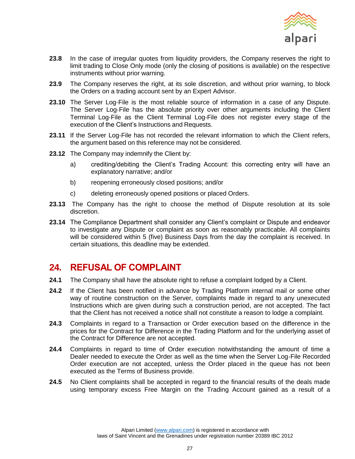

- **23.8** In the case of irregular quotes from liquidity providers, the Company reserves the right to limit trading to Close Only mode (only the closing of positions is available) on the respective instruments without prior warning.
- **23.9** The Company reserves the right, at its sole discretion, and without prior warning, to block the Orders on a trading account sent by an Expert Advisor.
- **23.10** The Server Log‐File is the most reliable source of information in a case of any Dispute. The Server Log-File has the absolute priority over other arguments including the Client Terminal Log‐File as the Client Terminal Log‐File does not register every stage of the execution of the Client's Instructions and Requests.
- **23.11** If the Server Log-File has not recorded the relevant information to which the Client refers, the argument based on this reference may not be considered.
- **23.12** The Company may indemnify the Client by:
	- a) crediting/debiting the Client's Trading Account: this correcting entry will have an explanatory narrative; and/or
	- b) reopening erroneously closed positions; and/or
	- c) deleting erroneously opened positions or placed Orders.
- **23.13** The Company has the right to choose the method of Dispute resolution at its sole discretion.
- **23.14** The Compliance Department shall consider any Client's complaint or Dispute and endeavor to investigate any Dispute or complaint as soon as reasonably practicable. All complaints will be considered within 5 (five) Business Days from the day the complaint is received. In certain situations, this deadline may be extended.

## <span id="page-26-0"></span>**24. REFUSAL OF COMPLAINT**

- **24.1** The Company shall have the absolute right to refuse a complaint lodged by a Client.
- **24.2** If the Client has been notified in advance by Trading Platform internal mail or some other way of routine construction on the Server, complaints made in regard to any unexecuted Instructions which are given during such a construction period, are not accepted. The fact that the Client has not received a notice shall not constitute a reason to lodge a complaint.
- **24.3** Complaints in regard to a Transaction or Order execution based on the difference in the prices for the Contract for Difference in the Trading Platform and for the underlying asset of the Contract for Difference are not accepted.
- **24.4** Complaints in regard to time of Order execution notwithstanding the amount of time a Dealer needed to execute the Order as well as the time when the Server Log‐File Recorded Order execution are not accepted, unless the Order placed in the queue has not been executed as the Terms of Business provide.
- **24.5** No Client complaints shall be accepted in regard to the financial results of the deals made using temporary excess Free Margin on the Trading Account gained as a result of a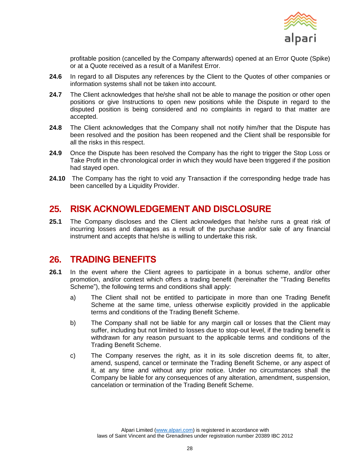

profitable position (cancelled by the Company afterwards) opened at an Error Quote (Spike) or at a Quote received as a result of a Manifest Error.

- **24.6** In regard to all Disputes any references by the Client to the Quotes of other companies or information systems shall not be taken into account.
- **24.7** The Client acknowledges that he/she shall not be able to manage the position or other open positions or give Instructions to open new positions while the Dispute in regard to the disputed position is being considered and no complaints in regard to that matter are accepted.
- **24.8** The Client acknowledges that the Company shall not notify him/her that the Dispute has been resolved and the position has been reopened and the Client shall be responsible for all the risks in this respect.
- **24.9** Once the Dispute has been resolved the Company has the right to trigger the Stop Loss or Take Profit in the chronological order in which they would have been triggered if the position had stayed open.
- **24.10** The Company has the right to void any Transaction if the corresponding hedge trade has been cancelled by a Liquidity Provider.

## <span id="page-27-0"></span>**25. RISK ACKNOWLEDGEMENT AND DISCLOSURE**

**25.1** The Company discloses and the Client acknowledges that he/she runs a great risk of incurring losses and damages as a result of the purchase and/or sale of any financial instrument and accepts that he/she is willing to undertake this risk.

## <span id="page-27-1"></span>**26. TRADING BENEFITS**

- <span id="page-27-2"></span>**26.1** In the event where the Client agrees to participate in a bonus scheme, and/or other promotion, and/or contest which offers a trading benefit (hereinafter the "Trading Benefits Scheme"), the following terms and conditions shall apply:
	- a) The Client shall not be entitled to participate in more than one Trading Benefit Scheme at the same time, unless otherwise explicitly provided in the applicable terms and conditions of the Trading Benefit Scheme.
	- b) The Company shall not be liable for any margin call or losses that the Client may suffer, including but not limited to losses due to stop-out level, if the trading benefit is withdrawn for any reason pursuant to the applicable terms and conditions of the Trading Benefit Scheme.
	- c) The Company reserves the right, as it in its sole discretion deems fit, to alter, amend, suspend, cancel or terminate the Trading Benefit Scheme, or any aspect of it, at any time and without any prior notice. Under no circumstances shall the Company be liable for any consequences of any alteration, amendment, suspension, cancelation or termination of the Trading Benefit Scheme.